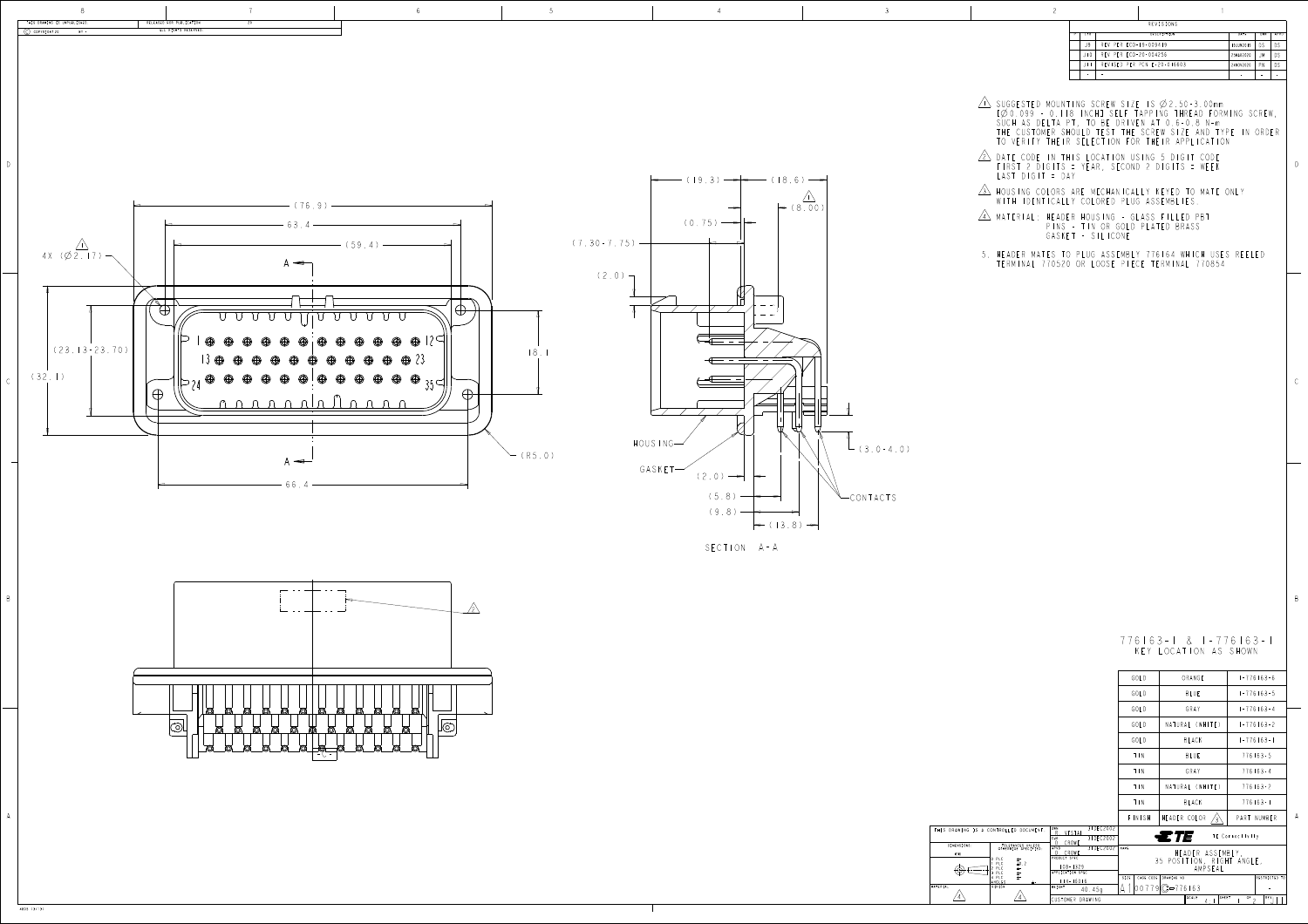

D

B

4805 (3/13)

| THIS DRAWING IS A CONTR |                                                                                                |
|-------------------------|------------------------------------------------------------------------------------------------|
|                         |                                                                                                |
| DIMENSIONS:             | OT                                                                                             |
| mm                      |                                                                                                |
|                         | <b>PLC</b><br>0<br>PLO<br>$\frac{2}{3}$<br>PL <sub>C</sub><br><b>PLC</b><br>PL (<br>4<br>ANGLE |
| MATERIAL                | <b>FINIS</b>                                                                                   |

| REVISIONS |                |                             |                    |           |     |      |
|-----------|----------------|-----------------------------|--------------------|-----------|-----|------|
|           | L T R          |                             | <b>DESCRIPTION</b> | DATE      | DWN | APVD |
|           | J9             | REV PER ECO-19-009419       |                    | 19JUN2019 | DS  | DS   |
|           | l 0<br>$\perp$ | REV PER ECO-20-004256       |                    | 25MAR2020 | .JM | DS   |
|           |                | REVISED PER PCN E-20-016603 |                    | 24NOV2020 | P N | DS   |
|           |                |                             |                    |           |     |      |

- <u>in</u> Suggested mounting screw size is  $\varphi$  2.50 LYZU.UYY - U.ITOS INCHI SELF TAPPING THREAD FORMI SUCH AS DELTA PT, TO BE DRIVEN AT 0.6-0.8 N-m THE CUSTOMER SHOULD TEST THE SCREW SIZE AND TYPE IN ORDER TO VERIFY THETR SELECTION FOR THEIR AP
- <u>Z DATE CODE IN THIS LOCATION USING 5</u> DI FIRST Z DIGITS = YEAR, SECOND Z DIGI LASI DIGIT =
- <u>3\</u> Housing colors are mechanically keyed to WITH IDENTICALLY COLORED PLUG ASS
- <u>4\</u> Material: Header Housing Glass fi PINS - TIN OR GOLD PLAT GASNET - SIL
- 5. HEADER MATES TO PLUG ASSEMBLY 776164 WHICH USES REELED TERMINAL 770520 OR LOOSE PIECE TERMINAL 770854

776163-1 & 1-776163-1 Y LOCATION AS SHO

|             | S DRAWING IS A CONTROLLED DOCUMENT.                                    | I DWN<br>3 I DE CZUUZ<br>VESTAL<br>R.<br>31DEC2002<br>CHK<br>D. CROWE | $\equiv T E$<br>TE Connectivity                       |  |
|-------------|------------------------------------------------------------------------|-----------------------------------------------------------------------|-------------------------------------------------------|--|
| DIMENSIONS: | TOLERANCES UNLESS<br>OTHERWISE SPECIFIED:                              | 31DEC2002<br>APVD                                                     | NAME                                                  |  |
| mm          |                                                                        | CROWE<br>PRODUCT SPEC                                                 | HEADER ASSEMBLY,                                      |  |
|             | O PLC<br>士"。<br>$\pm 0.2$<br>PLC<br>PLC<br>士"<br><b>PLC</b><br>$\pm$ - | $108 - 1329$<br>APPLICATION SPEC                                      | 35 POSITION, RIGHT ANGLE,<br>AMPSEAL                  |  |
|             | PLC<br>$\pm$ -<br><b>ANGLES</b>                                        | $14 - 16016$                                                          | RESTRICTED TO<br>CAGE CODE<br>SIZE<br>DRAWING NO      |  |
| AL          | <b>FINISH</b>                                                          | WEIGHT<br>40.45q                                                      | $9$ $\odot$ $-776163$                                 |  |
|             |                                                                        | CUSTOMER DRAWING                                                      | OF<br>SCALE<br>SHEET<br>REV <sub>1</sub><br>$4 \cdot$ |  |

|           | GOLD       | ORANGE              | $1 - 776163 - 6$                                                                                                                                                                                                                                                                                                                                                                                                                      |  |
|-----------|------------|---------------------|---------------------------------------------------------------------------------------------------------------------------------------------------------------------------------------------------------------------------------------------------------------------------------------------------------------------------------------------------------------------------------------------------------------------------------------|--|
|           | GOLD       | <b>BLUE</b>         | $1 - 776163 - 5$                                                                                                                                                                                                                                                                                                                                                                                                                      |  |
|           | GOLD       | GRAY                | $1 - 776163 - 4$                                                                                                                                                                                                                                                                                                                                                                                                                      |  |
|           | GOLD       | NATURAL (WHITE)     | $1 - 776163 - 2$                                                                                                                                                                                                                                                                                                                                                                                                                      |  |
|           | GOLD       | BLACK               | $1 - 776163 - 1$                                                                                                                                                                                                                                                                                                                                                                                                                      |  |
|           | $T \mid N$ | <b>BLUE</b>         | $776163 - 5$                                                                                                                                                                                                                                                                                                                                                                                                                          |  |
|           | T N        | GRAY                | $776163 - 4$                                                                                                                                                                                                                                                                                                                                                                                                                          |  |
|           | T N        | NATURAL (WHITE)     | $776163 - 2$                                                                                                                                                                                                                                                                                                                                                                                                                          |  |
|           | T N        | <b>BLACK</b>        | $776163 - 1$                                                                                                                                                                                                                                                                                                                                                                                                                          |  |
|           | FINISH     | HEADER COLOR<br>′3` | PART NUMBER                                                                                                                                                                                                                                                                                                                                                                                                                           |  |
| 31DEC2002 |            |                     | $\begin{array}{cccccccccccccc} \textbf{r} & \textbf{r} & \textbf{r} & \textbf{r} & \textbf{r} & \textbf{r} & \textbf{r} & \textbf{r} & \textbf{r} & \textbf{r} & \textbf{r} & \textbf{r} & \textbf{r} & \textbf{r} & \textbf{r} & \textbf{r} & \textbf{r} & \textbf{r} & \textbf{r} & \textbf{r} & \textbf{r} & \textbf{r} & \textbf{r} & \textbf{r} & \textbf{r} & \textbf{r} & \textbf{r} & \textbf{r} & \textbf{r} & \textbf{r} &$ |  |